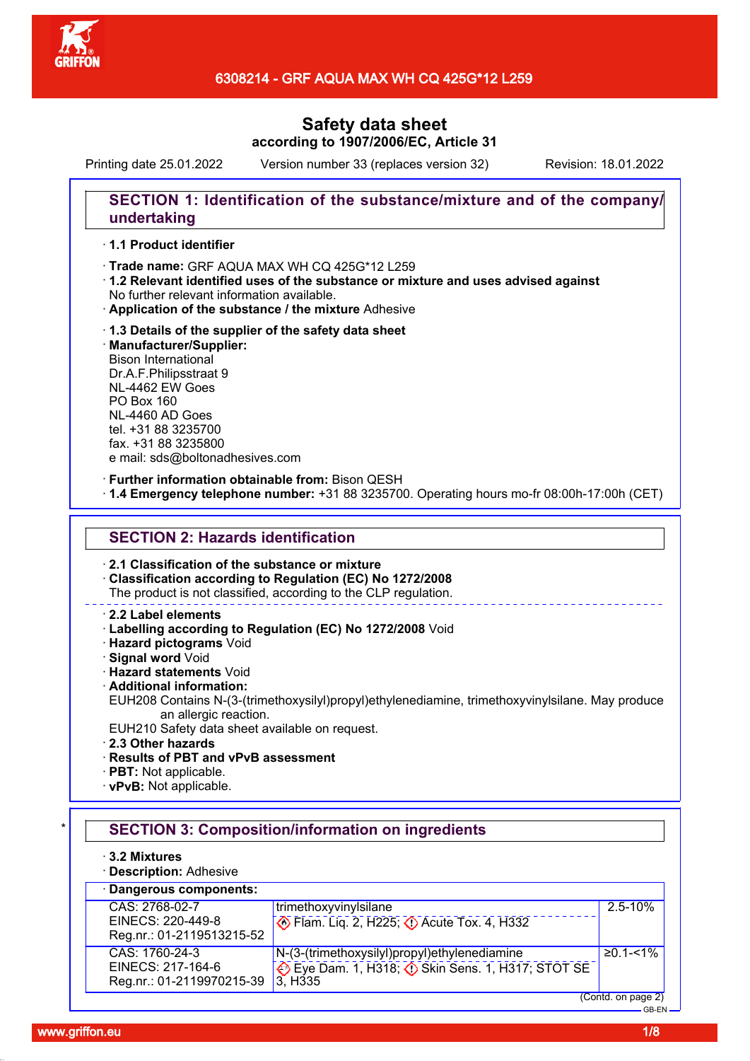

Printing date 25.01.2022 Version number 33 (replaces version 32) Revision: 18.01.2022

# **SECTION 1: Identification of the substance/mixture and of the company/ undertaking**

### · **1.1 Product identifier**

· Trade name: GRF AQUA MAX WH CQ 425G\*12 L259

- · **1.2 Relevant identified uses of the substance or mixture and uses advised against** No further relevant information available.
- · **Application of the substance / the mixture** Adhesive
- · **1.3 Details of the supplier of the safety data sheet** · **Manufacturer/Supplier:** Bison International Dr.A.F.Philipsstraat 9 NL-4462 EW Goes PO Box 160 NL-4460 AD Goes tel. +31 88 3235700

fax. +31 88 3235800 e mail: sds@boltonadhesives.com

### · **Further information obtainable from:** Bison QESH

· **1.4 Emergency telephone number:** +31 88 3235700. Operating hours mo-fr 08:00h-17:00h (CET)

# **SECTION 2: Hazards identification**

· **2.1 Classification of the substance or mixture**

· **Classification according to Regulation (EC) No 1272/2008**

The product is not classified, according to the CLP regulation.

### · **2.2 Label elements**

· **Labelling according to Regulation (EC) No 1272/2008** Void

· **Hazard pictograms** Void

· **Signal word** Void

· **Hazard statements** Void

· **Additional information:**

EUH208 Contains N-(3-(trimethoxysilyl)propyl)ethylenediamine, trimethoxyvinylsilane. May produce an allergic reaction.

- EUH210 Safety data sheet available on request.
- · **2.3 Other hazards**
- · **Results of PBT and vPvB assessment**
- · **PBT:** Not applicable.
- · **vPvB:** Not applicable.

# **SECTION 3: Composition/information on ingredients**

- · **3.2 Mixtures**
- · **Description:** Adhesive

#### · **Dangerous components:** CAS: 2768-02-7 EINECS: 220-449-8 Reg.nr.: 01-2119513215-52 trimethoxyvinylsilane  $\bullet$  Flam. Lig. 2, H225;  $\bullet$  Acute Tox. 4, H332 2.5-10% CAS: 1760-24-3 EINECS: 217-164-6 Reg.nr.: 01-2119970215-39 N-(3-(trimethoxysilyl)propyl)ethylenediamine Eye Dam. 1, H318; ♦ Skin Sens. 1, H317; STOT SE 3, H335 ≥0.1-<1% (Contd. on page 2)

GB-EN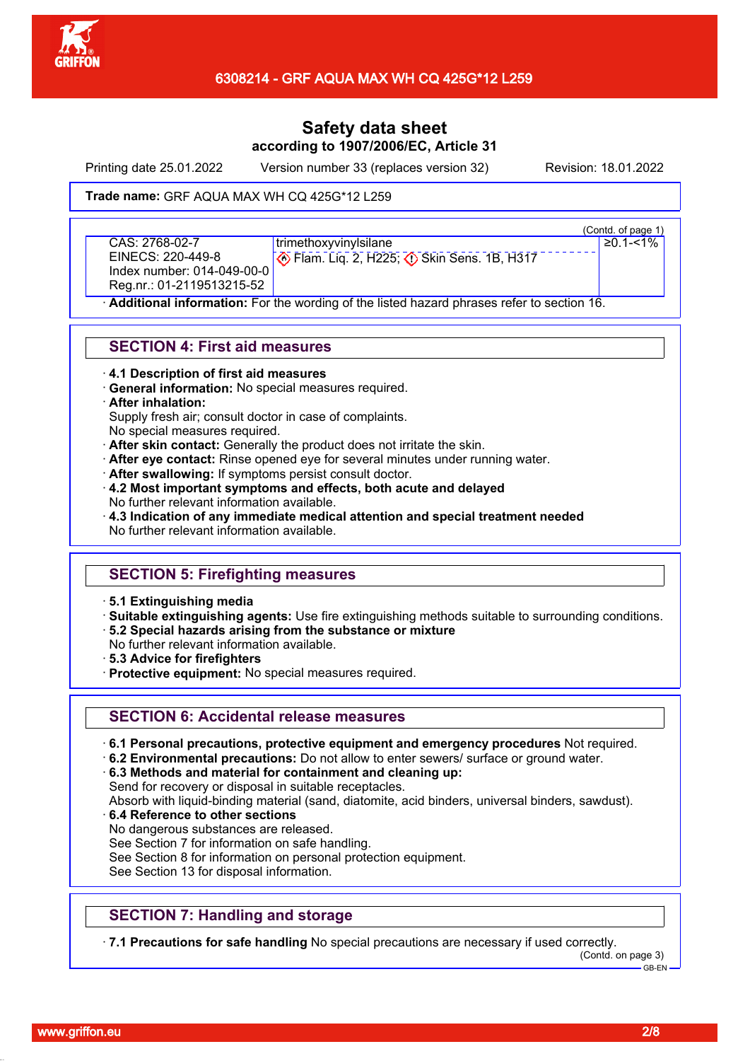

Printing date 25.01.2022 Version number 33 (replaces version 32) Revision: 18.01.2022

### Trade name: GRF AQUA MAX WH CQ 425G\*12 L259

CAS: 2768-02-7 EINECS: 220-449-8 Index number: 014-049-00-0 Reg.nr.: 01-2119513215-52

trimethoxyvinylsilane **• Flam. Lig. 2, H225; 4 Skin Sens. 1B, H317** 

(Contd. of page 1) ≥0.1-<1%

Additional information: For the wording of the listed hazard phrases refer to section 16.

# **SECTION 4: First aid measures**

- · **4.1 Description of first aid measures**
- · **General information:** No special measures required.

### · **After inhalation:**

Supply fresh air; consult doctor in case of complaints.

- No special measures required.
- · **After skin contact:** Generally the product does not irritate the skin.
- · **After eye contact:** Rinse opened eye for several minutes under running water.
- · **After swallowing:** If symptoms persist consult doctor.
- · **4.2 Most important symptoms and effects, both acute and delayed** No further relevant information available.
- · **4.3 Indication of any immediate medical attention and special treatment needed** No further relevant information available.

# **SECTION 5: Firefighting measures**

- · **5.1 Extinguishing media**
- · **Suitable extinguishing agents:** Use fire extinguishing methods suitable to surrounding conditions.
- · **5.2 Special hazards arising from the substance or mixture**
- No further relevant information available.
- · **5.3 Advice for firefighters**
- · **Protective equipment:** No special measures required.

# **SECTION 6: Accidental release measures**

- · **6.1 Personal precautions, protective equipment and emergency procedures** Not required.
- · **6.2 Environmental precautions:** Do not allow to enter sewers/ surface or ground water.

· **6.3 Methods and material for containment and cleaning up:** Send for recovery or disposal in suitable receptacles.

Absorb with liquid-binding material (sand, diatomite, acid binders, universal binders, sawdust).

- · **6.4 Reference to other sections**
- No dangerous substances are released.
- See Section 7 for information on safe handling.
- See Section 8 for information on personal protection equipment.
- See Section 13 for disposal information.

# **SECTION 7: Handling and storage**

· **7.1 Precautions for safe handling** No special precautions are necessary if used correctly.

(Contd. on page 3) GB-EN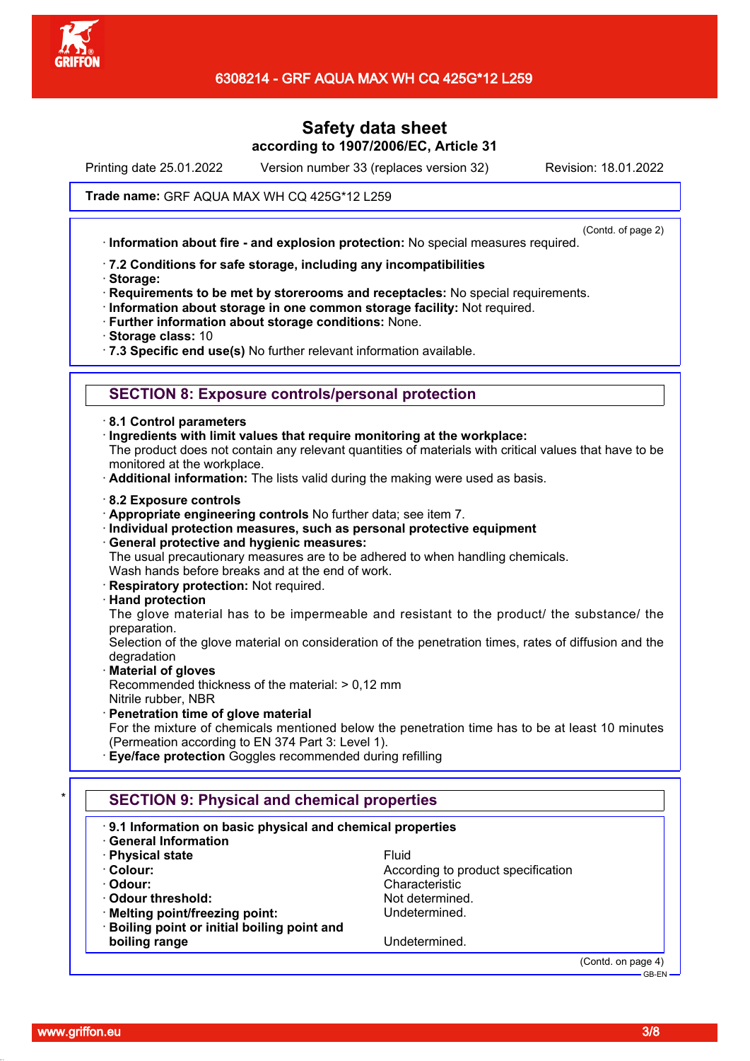

Printing date 25.01.2022 Version number 33 (replaces version 32) Revision: 18.01.2022

### Trade name: GRF AQUA MAX WH CQ 425G\*12 L259

(Contd. of page 2)

· **Information about fire - and explosion protection:** No special measures required.

#### · **7.2 Conditions for safe storage, including any incompatibilities**

· **Storage:**

· **Requirements to be met by storerooms and receptacles:** No special requirements.

- · **Information about storage in one common storage facility:** Not required.
- · **Further information about storage conditions:** None.
- · **Storage class:** 10
- · **7.3 Specific end use(s)** No further relevant information available.

### **SECTION 8: Exposure controls/personal protection**

- · **8.1 Control parameters**
- · **Ingredients with limit values that require monitoring at the workplace:**

The product does not contain any relevant quantities of materials with critical values that have to be monitored at the workplace.

- · **Additional information:** The lists valid during the making were used as basis.
- · **8.2 Exposure controls**
- · **Appropriate engineering controls** No further data; see item 7.
- · **Individual protection measures, such as personal protective equipment**
- · **General protective and hygienic measures:**

The usual precautionary measures are to be adhered to when handling chemicals.

- Wash hands before breaks and at the end of work.
- · **Respiratory protection:** Not required.

### · **Hand protection**

The glove material has to be impermeable and resistant to the product/ the substance/ the preparation.

Selection of the glove material on consideration of the penetration times, rates of diffusion and the degradation

### · **Material of gloves**

Recommended thickness of the material: > 0,12 mm Nitrile rubber, NBR

· **Penetration time of glove material** For the mixture of chemicals mentioned below the penetration time has to be at least 10 minutes (Permeation according to EN 374 Part 3: Level 1).

· **Eye/face protection** Goggles recommended during refilling

# \* **SECTION 9: Physical and chemical properties** · **9.1 Information on basic physical and chemical properties** · **General Information · Physical state** Fluid **Colour:** According to product specification **According** to product specification · **Odour:** Characteristic · **Odour threshold:** Not determined. **Melting point/freezing point:** Undetermined. · **Boiling point or initial boiling point and boiling range** Undetermined.

(Contd. on page 4) GB-EN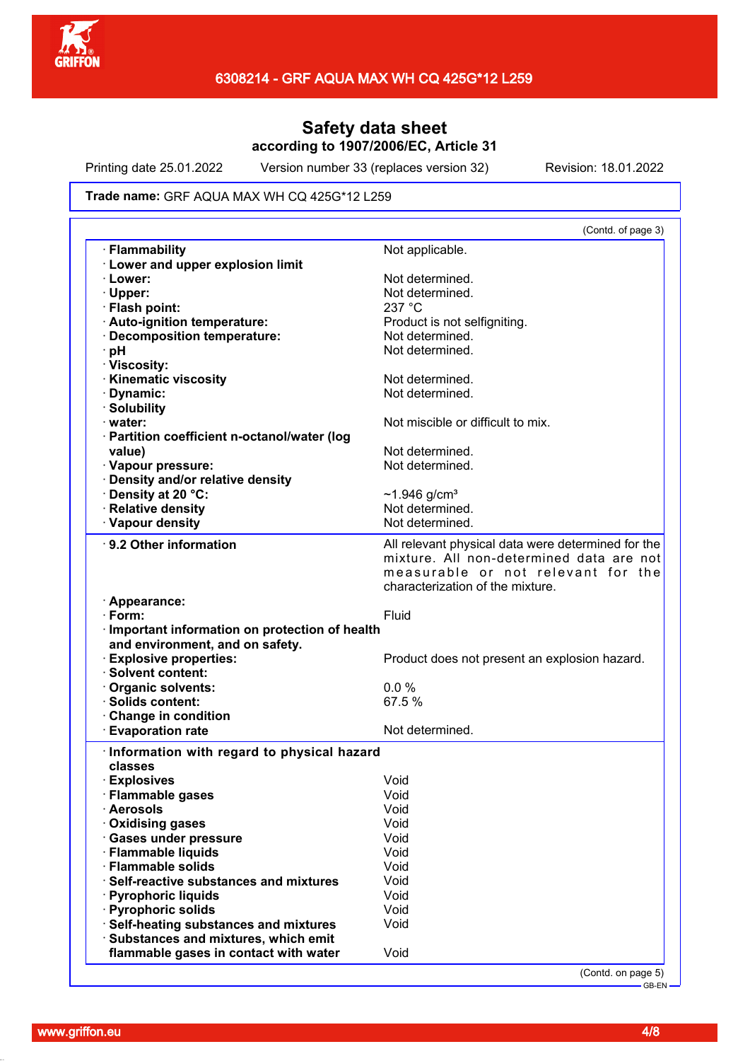

Printing date 25.01.2022 Version number 33 (replaces version 32) Revision: 18.01.2022

#### Trade name: GRF AQUA MAX WH CQ 425G\*12 L259

| (Contd. of page 3)                                 |
|----------------------------------------------------|
| Not applicable.                                    |
|                                                    |
| Not determined.                                    |
| Not determined.                                    |
| 237 °C                                             |
| Product is not selfigniting.                       |
| Not determined.                                    |
| Not determined.                                    |
|                                                    |
| Not determined.                                    |
| Not determined.                                    |
|                                                    |
| Not miscible or difficult to mix.                  |
|                                                    |
| Not determined.                                    |
| Not determined.                                    |
|                                                    |
| ~1.946 g/cm <sup>3</sup>                           |
| Not determined.                                    |
| Not determined.                                    |
| All relevant physical data were determined for the |
| mixture. All non-determined data are not           |
| measurable or not relevant for the                 |
| characterization of the mixture.                   |
|                                                    |
| Fluid                                              |
| · Important information on protection of health    |
|                                                    |
| Product does not present an explosion hazard.      |
|                                                    |
| 0.0%                                               |
| 67.5 %                                             |
|                                                    |
| Not determined.                                    |
|                                                    |
| Information with regard to physical hazard         |
|                                                    |
| Void                                               |
| Void                                               |
| Void                                               |
| Void                                               |
| Void                                               |
| Void                                               |
| Void                                               |
|                                                    |
| Void                                               |
| Void                                               |
| Void                                               |
| Void                                               |
| Void                                               |
|                                                    |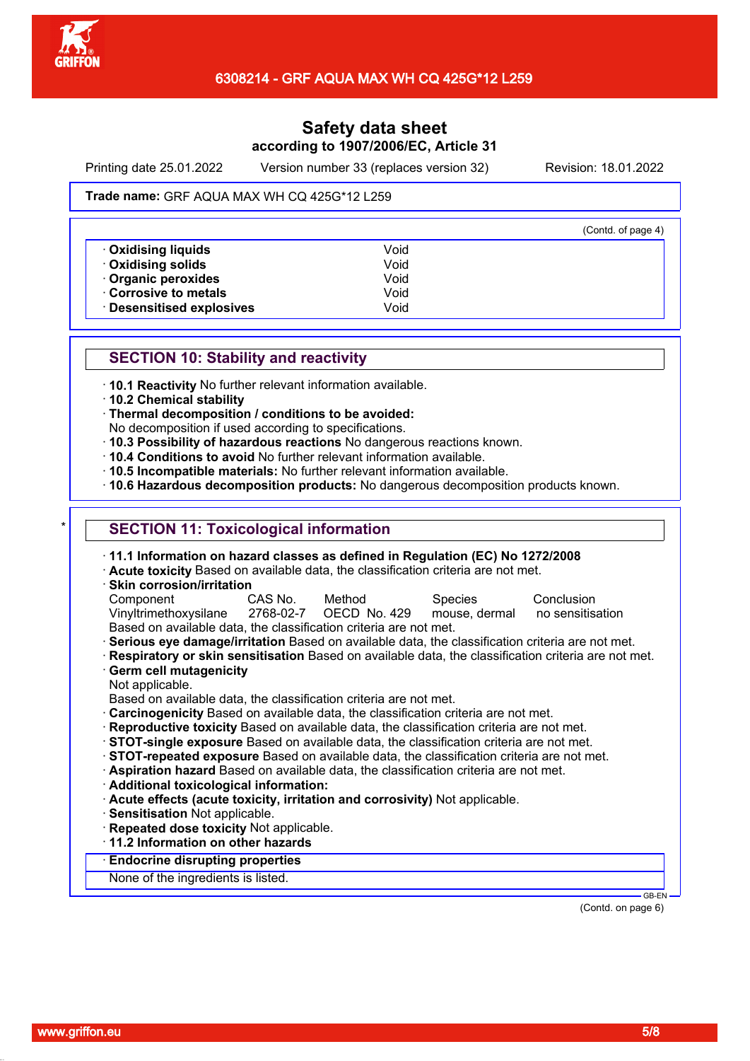

Printing date 25.01.2022 Version number 33 (replaces version 32) Revision: 18.01.2022

#### Trade name: GRF AQUA MAX WH CQ 425G\*12 L259

|                           |      | (Contd. of page 4) |
|---------------------------|------|--------------------|
| <b>Oxidising liquids</b>  | Void |                    |
| <b>· Oxidising solids</b> | Void |                    |
| Organic peroxides         | Void |                    |
| Corrosive to metals       | Void |                    |
| · Desensitised explosives | Void |                    |

### **SECTION 10: Stability and reactivity**

· **10.1 Reactivity** No further relevant information available.

· **10.2 Chemical stability**

· **Thermal decomposition / conditions to be avoided:**

No decomposition if used according to specifications.

- · **10.3 Possibility of hazardous reactions** No dangerous reactions known.
- · **10.4 Conditions to avoid** No further relevant information available.
- · **10.5 Incompatible materials:** No further relevant information available.

· **10.6 Hazardous decomposition products:** No dangerous decomposition products known.

# **SECTION 11: Toxicological information**

| $\cdot$ 11.1 Information on hazard classes as defined in Regulation (EC) No 1272/2008<br>· Acute toxicity Based on available data, the classification criteria are not met. |                |                        |                |                    |
|-----------------------------------------------------------------------------------------------------------------------------------------------------------------------------|----------------|------------------------|----------------|--------------------|
| · Skin corrosion/irritation                                                                                                                                                 |                |                        |                |                    |
| Component                                                                                                                                                                   | CAS No. Method |                        | <b>Species</b> | Conclusion         |
| Vinyltrimethoxysilane                                                                                                                                                       |                | 2768-02-7 OECD No. 429 | mouse, dermal  | no sensitisation   |
| Based on available data, the classification criteria are not met.                                                                                                           |                |                        |                |                    |
| · Serious eye damage/irritation Based on available data, the classification criteria are not met.                                                                           |                |                        |                |                    |
| Respiratory or skin sensitisation Based on available data, the classification criteria are not met.                                                                         |                |                        |                |                    |
| Germ cell mutagenicity                                                                                                                                                      |                |                        |                |                    |
| Not applicable.                                                                                                                                                             |                |                        |                |                    |
| Based on available data, the classification criteria are not met.                                                                                                           |                |                        |                |                    |
| . Carcinogenicity Based on available data, the classification criteria are not met.                                                                                         |                |                        |                |                    |
| · Reproductive toxicity Based on available data, the classification criteria are not met.                                                                                   |                |                        |                |                    |
| STOT-single exposure Based on available data, the classification criteria are not met.                                                                                      |                |                        |                |                    |
| STOT-repeated exposure Based on available data, the classification criteria are not met.                                                                                    |                |                        |                |                    |
| Aspiration hazard Based on available data, the classification criteria are not met.                                                                                         |                |                        |                |                    |
| · Additional toxicological information:                                                                                                                                     |                |                        |                |                    |
| Acute effects (acute toxicity, irritation and corrosivity) Not applicable.                                                                                                  |                |                        |                |                    |
| · Sensitisation Not applicable.                                                                                                                                             |                |                        |                |                    |
| · Repeated dose toxicity Not applicable.                                                                                                                                    |                |                        |                |                    |
| 11.2 Information on other hazards                                                                                                                                           |                |                        |                |                    |
| <b>Endocrine disrupting properties</b>                                                                                                                                      |                |                        |                |                    |
|                                                                                                                                                                             |                |                        |                |                    |
| None of the ingredients is listed.                                                                                                                                          |                |                        |                |                    |
|                                                                                                                                                                             |                |                        |                | $GB-EN$ $-$        |
|                                                                                                                                                                             |                |                        |                | (Contd. on page 6) |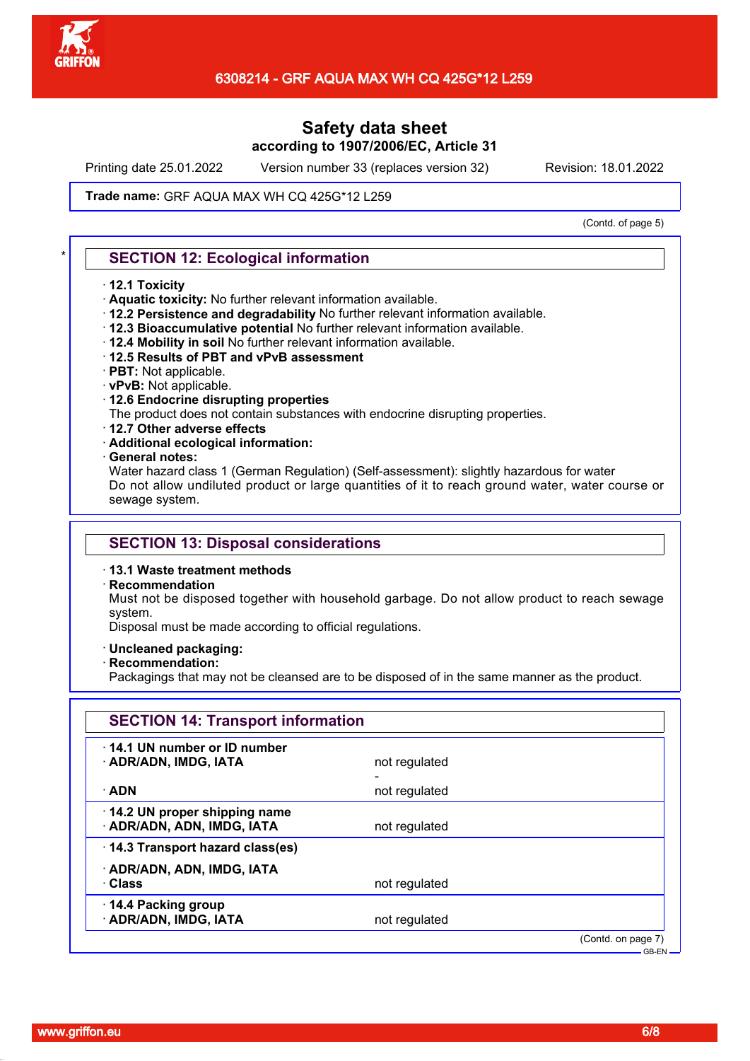

Printing date 25.01.2022 Version number 33 (replaces version 32) Revision: 18.01.2022

### Trade name: GRF AQUA MAX WH CQ 425G\*12 L259

(Contd. of page 5)

### **SECTION 12: Ecological information**

#### · **12.1 Toxicity**

- · **Aquatic toxicity:** No further relevant information available.
- · **12.2 Persistence and degradability** No further relevant information available.
- · **12.3 Bioaccumulative potential** No further relevant information available.
- · **12.4 Mobility in soil** No further relevant information available.
- · **12.5 Results of PBT and vPvB assessment**
- · **PBT:** Not applicable.
- · **vPvB:** Not applicable.
- · **12.6 Endocrine disrupting properties**
- The product does not contain substances with endocrine disrupting properties.
- · **12.7 Other adverse effects**
- · **Additional ecological information:**
- · **General notes:**

Water hazard class 1 (German Regulation) (Self-assessment): slightly hazardous for water Do not allow undiluted product or large quantities of it to reach ground water, water course or sewage system.

### **SECTION 13: Disposal considerations**

#### · **13.1 Waste treatment methods**

· **Recommendation**

Must not be disposed together with household garbage. Do not allow product to reach sewage system.

Disposal must be made according to official regulations.

- · **Uncleaned packaging:**
- · **Recommendation:**

Packagings that may not be cleansed are to be disposed of in the same manner as the product.

| <b>SECTION 14: Transport information</b>                   |               |                    |
|------------------------------------------------------------|---------------|--------------------|
| 14.1 UN number or ID number<br>· ADR/ADN, IMDG, IATA       | not regulated |                    |
| · ADN                                                      | not regulated |                    |
| 14.2 UN proper shipping name<br>· ADR/ADN, ADN, IMDG, IATA | not regulated |                    |
| 14.3 Transport hazard class(es)                            |               |                    |
| · ADR/ADN, ADN, IMDG, IATA<br>· Class                      | not regulated |                    |
| 14.4 Packing group<br>· ADR/ADN, IMDG, IATA                | not regulated |                    |
|                                                            |               | (Contd. on page 7) |

GB-EN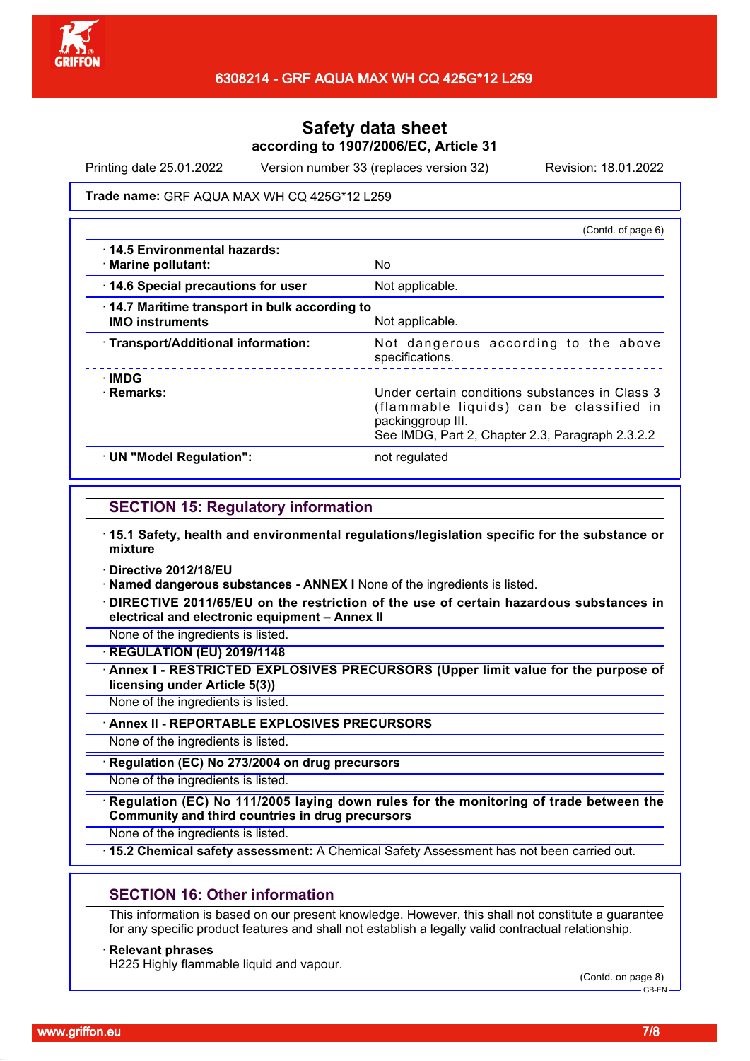

Printing date 25.01.2022 Version number 33 (replaces version 32) Revision: 18.01.2022

#### Trade name: GRF AQUA MAX WH CQ 425G\*12 L259

|                                                                        | (Contd. of page 6)                                                                                                                                                  |
|------------------------------------------------------------------------|---------------------------------------------------------------------------------------------------------------------------------------------------------------------|
| 14.5 Environmental hazards:<br>· Marine pollutant:                     | No                                                                                                                                                                  |
| 14.6 Special precautions for user                                      | Not applicable.                                                                                                                                                     |
| 14.7 Maritime transport in bulk according to<br><b>IMO instruments</b> | Not applicable.                                                                                                                                                     |
| · Transport/Additional information:                                    | Not dangerous according to the above<br>specifications.                                                                                                             |
| ∴IMDG<br>· Remarks:                                                    | Under certain conditions substances in Class 3<br>(flammable liquids) can be classified in<br>packinggroup III.<br>See IMDG, Part 2, Chapter 2.3, Paragraph 2.3.2.2 |
| · UN "Model Regulation":                                               | not regulated                                                                                                                                                       |

# **SECTION 15: Regulatory information**

- · **15.1 Safety, health and environmental regulations/legislation specific for the substance or mixture**
- · **Directive 2012/18/EU**
- · **Named dangerous substances ANNEX I** None of the ingredients is listed.
- · **DIRECTIVE 2011/65/EU on the restriction of the use of certain hazardous substances in electrical and electronic equipment – Annex II**
- None of the ingredients is listed.

· **REGULATION (EU) 2019/1148**

· **Annex I - RESTRICTED EXPLOSIVES PRECURSORS (Upper limit value for the purpose of licensing under Article 5(3))**

None of the ingredients is listed.

· **Annex II - REPORTABLE EXPLOSIVES PRECURSORS**

None of the ingredients is listed.

· **Regulation (EC) No 273/2004 on drug precursors**

None of the ingredients is listed.

· **Regulation (EC) No 111/2005 laying down rules for the monitoring of trade between the Community and third countries in drug precursors**

None of the ingredients is listed.

· **15.2 Chemical safety assessment:** A Chemical Safety Assessment has not been carried out.

### **SECTION 16: Other information**

This information is based on our present knowledge. However, this shall not constitute a guarantee for any specific product features and shall not establish a legally valid contractual relationship.

### · **Relevant phrases**

H225 Highly flammable liquid and vapour.

(Contd. on page 8) GB-EN